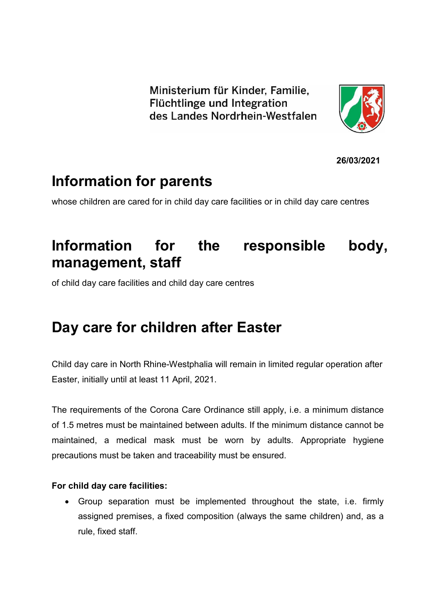Ministerium für Kinder, Familie, Flüchtlinge und Integration des Landes Nordrhein-Westfalen



**26/03/2021**

# **Information for parents**

whose children are cared for in child day care facilities or in child day care centres

# **Information for the responsible body, management, staff**

of child day care facilities and child day care centres

## **Day care for children after Easter**

Child day care in North Rhine-Westphalia will remain in limited regular operation after Easter, initially until at least 11 April, 2021.

The requirements of the Corona Care Ordinance still apply, i.e. a minimum distance of 1.5 metres must be maintained between adults. If the minimum distance cannot be maintained, a medical mask must be worn by adults. Appropriate hygiene precautions must be taken and traceability must be ensured.

#### **For child day care facilities:**

 Group separation must be implemented throughout the state, i.e. firmly assigned premises, a fixed composition (always the same children) and, as a rule, fixed staff.